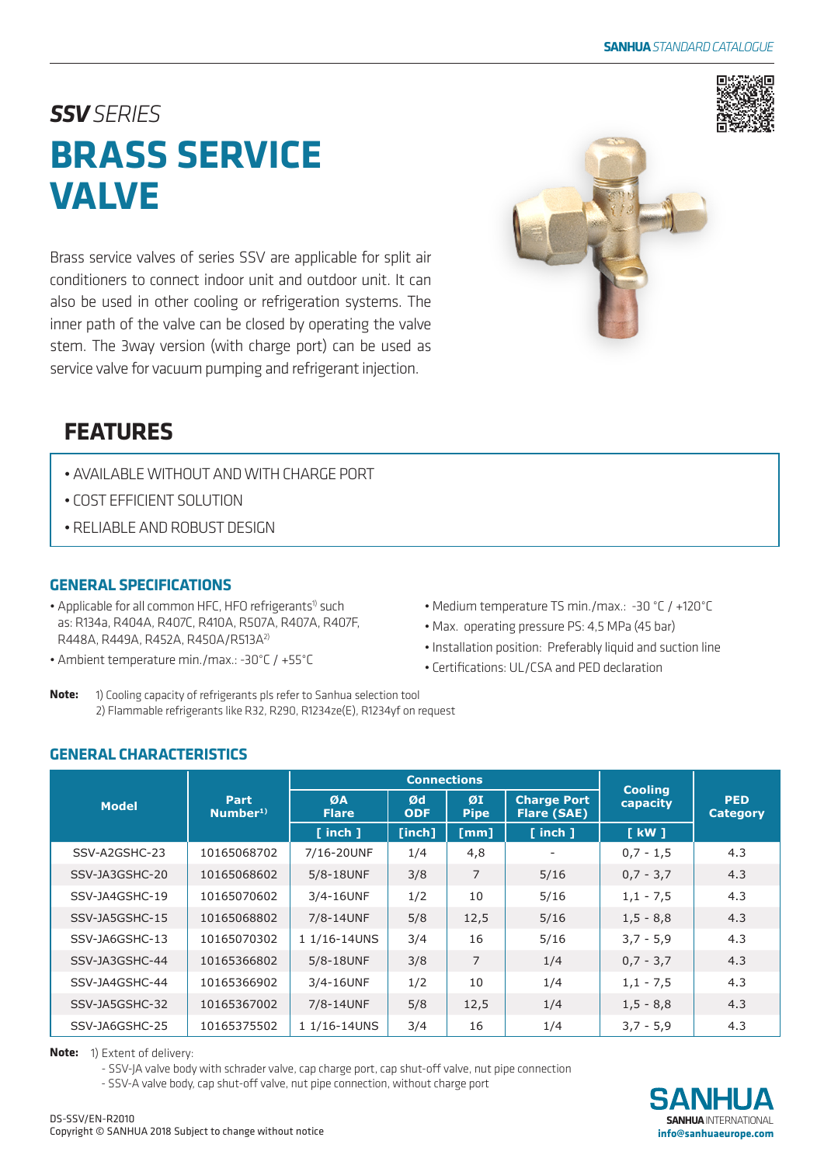# *SSVSERIES* **BRASS SERVICE VALVE**

Brass service valves of series SSV are applicable for split air conditioners to connect indoor unit and outdoor unit. It can also be used in other cooling or refrigeration systems. The inner path of the valve can be closed by operating the valve stem. The 3way version (with charge port) can be used as service valve for vacuum pumping and refrigerant injection.



## **FEATURES**

- AVAILABLE WITHOUT AND WITH CHARGE PORT
- COST EFFICIENT SOLUTION
- RELIABLE AND ROBUST DESIGN

### **GENERAL SPECIFICATIONS**

- $\bullet$  Applicable for all common HFC, HFO refrigerants<sup>1)</sup> such as: R134a, R404A, R407C, R410A, R507A, R407A, R407F, R448A, R449A, R452A, R450A/R513A2)
- Ambient temperature min./max.: -30°C / +55°C
- **Note:** 1) Cooling capacity of refrigerants pls refer to Sanhua selection tool 2) Flammable refrigerants like R32, R290, R1234ze(E), R1234yf on request
- Medium temperature TS min./max.: -30 °C / +120°C
- Max. operating pressure PS: 4,5 MPa (45 bar)
- Installation position: Preferably liquid and suction line
- Certifications: UL/CSA and PED declaration

|  | <b>GENERAL CHARACTERISTICS</b> |
|--|--------------------------------|
|  |                                |

|                | Part<br>Number <sup>1</sup> |                    | <b>Connections</b> | <b>Cooling</b>    |                                          |             |                               |
|----------------|-----------------------------|--------------------|--------------------|-------------------|------------------------------------------|-------------|-------------------------------|
| <b>Model</b>   |                             | ØA<br><b>Flare</b> | Ød<br><b>ODF</b>   | ØI<br><b>Pipe</b> | <b>Charge Port</b><br><b>Flare (SAE)</b> | capacity    | <b>PED</b><br><b>Category</b> |
|                |                             | $[$ inch $]$       | [inch]             | [mm]              | $[$ inch $]$                             | [kW]        |                               |
| SSV-A2GSHC-23  | 10165068702                 | 7/16-20UNF         | 1/4                | 4,8               |                                          | $0,7 - 1,5$ | 4.3                           |
| SSV-JA3GSHC-20 | 10165068602                 | 5/8-18UNF          | 3/8                | $\overline{7}$    | 5/16                                     | $0,7 - 3,7$ | 4.3                           |
| SSV-JA4GSHC-19 | 10165070602                 | 3/4-16UNF          | 1/2                | 10                | 5/16                                     | $1,1 - 7,5$ | 4.3                           |
| SSV-JA5GSHC-15 | 10165068802                 | 7/8-14UNF          | 5/8                | 12,5              | 5/16                                     | $1,5 - 8,8$ | 4.3                           |
| SSV-JA6GSHC-13 | 10165070302                 | 1 1/16-14UNS       | 3/4                | 16                | 5/16                                     | $3,7 - 5,9$ | 4.3                           |
| SSV-JA3GSHC-44 | 10165366802                 | 5/8-18UNF          | 3/8                | $\overline{7}$    | 1/4                                      | $0,7 - 3,7$ | 4.3                           |
| SSV-JA4GSHC-44 | 10165366902                 | 3/4-16UNF          | 1/2                | 10                | 1/4                                      | $1,1 - 7,5$ | 4.3                           |
| SSV-JA5GSHC-32 | 10165367002                 | 7/8-14UNF          | 5/8                | 12,5              | 1/4                                      | $1,5 - 8,8$ | 4.3                           |
| SSV-JA6GSHC-25 | 10165375502                 | 1 1/16-14UNS       | 3/4                | 16                | 1/4                                      | $3,7 - 5,9$ | 4.3                           |

**Note:** 1) Extent of delivery:

- SSV-JA valve body with schrader valve, cap charge port, cap shut-off valve, nut pipe connection

- SSV-A valve body, cap shut-off valve, nut pipe connection, without charge port